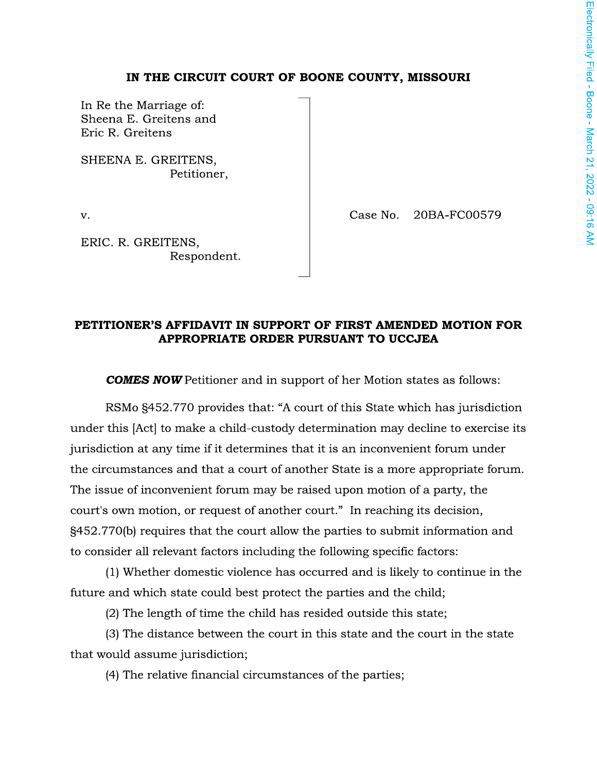## IN THE CIRCUIT COURT OF BOONE COUNTY, MISSOURI

In Re the Marriage of: Sheena E. Greitens and Eric R. Greitens

SHEENA E. GREITENS, Petitioner,

v.

Case No. 20BA-FC00579

ERIC. R. GREITENS, Respondent.

PETITIONER'S AFFIDAVIT IN SUPPORT OF FIRST AMENDED MOTION FOR APPROPRIATE ORDER PURSUANT TO UCCJEA

**COMES NOW** Petitioner and in support of her Motion states as follows:

RSMo §452.770 provides that: "A court of this State which has jurisdiction under this [Act] to make a child-custody determination may decline to exercise its jurisdiction at any time if it determines that it is an inconvenient forum under the circumstances and that a court of another State is a more appropriate forum. The issue of inconvenient forum may be raised upon motion of a party, the court's own motion, or request of another court." In reaching its decision, §452.770(b) requires that the court allow the parties to submit information and to consider all relevant factors including the following specific factors:

(1) Whether domestic violence has occurred and is likely to continue in the future and which state could best protect the parties and the child;

(2) The length of time the child has resided outside this state;

(3) The distance between the court in this state and the court in the state that would assume jurisdiction;

(4) The relative financial circumstances of the parties;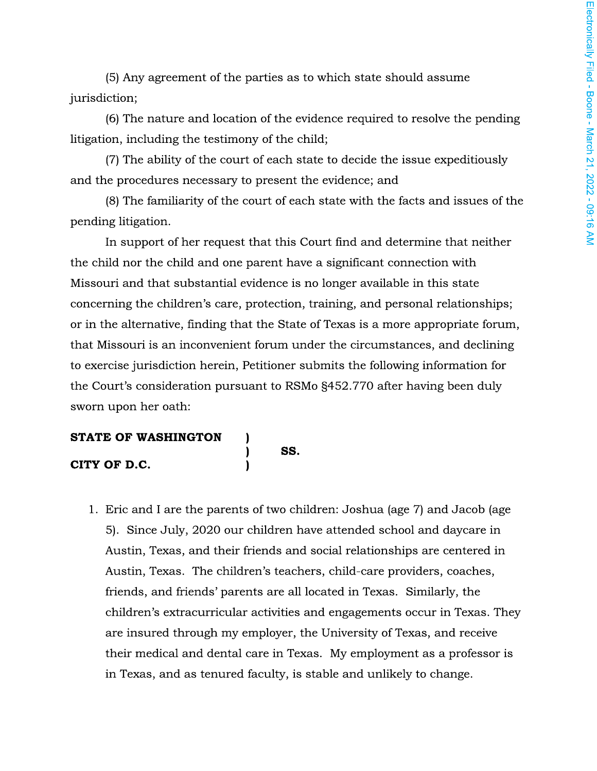(5) Any agreement of the parties as to which state should assume jurisdiction;

(6) The nature and location of the evidence required to resolve the pending litigation, including the testimony of the child;

(7) The ability of the court of each state to decide the issue expeditiously and the procedures necessary to present the evidence; and

(8) The familiarity of the court of each state with the facts and issues of the pending litigation.

In support of her request that this Court find and determine that neither the child nor the child and one parent have a significant connection with Missouri and that substantial evidence is no longer available in this state concerning the children's care, protection, training, and personal relationships; or in the alternative, finding that the State of Texas is a more appropriate forum, that Missouri is an inconvenient forum under the circumstances, and declining to exercise jurisdiction herein, Petitioner submits the following information for the Court's consideration pursuant to RSMo §452.770 after having been duly sworn upon her oath:

SS.

 $\mathbf{I}$ 

 $\mathbf{I}$ 

 $\mathbf{I}$ 

## **STATE OF WASHINGTON**

## CITY OF D.C.

1. Eric and I are the parents of two children: Joshua (age 7) and Jacob (age 5). Since July, 2020 our children have attended school and daycare in Austin, Texas, and their friends and social relationships are centered in Austin, Texas. The children's teachers, child-care providers, coaches, friends, and friends' parents are all located in Texas. Similarly, the children's extracurricular activities and engagements occur in Texas. They are insured through my employer, the University of Texas, and receive their medical and dental care in Texas. My employment as a professor is in Texas, and as tenured faculty, is stable and unlikely to change.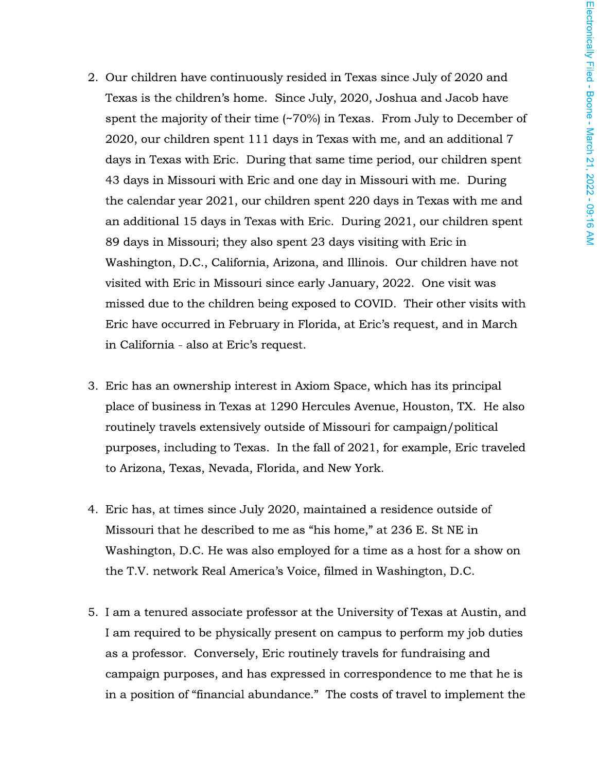- 2. Our children have continuously resided in Texas since July of 2020 and Texas is the children's home. Since July, 2020, Joshua and Jacob have spent the majority of their time  $(\sim 70\%)$  in Texas. From July to December of 2020, our children spent 111 days in Texas with me, and an additional 7 days in Texas with Eric. During that same time period, our children spent 43 days in Missouri with Eric and one day in Missouri with me. During the calendar year 2021, our children spent 220 days in Texas with me and an additional 15 days in Texas with Eric. During 2021, our children spent 89 days in Missouri; they also spent 23 days visiting with Eric in Washington, D.C., California, Arizona, and Illinois. Our children have not visited with Eric in Missouri since early January, 2022. One visit was missed due to the children being exposed to COVID. Their other visits with Eric have occurred in February in Florida, at Eric's request, and in March in California - also at Eric's request.
- 3. Eric has an ownership interest in Axiom Space, which has its principal place of business in Texas at 1290 Hercules Avenue, Houston, TX. He also routinely travels extensively outside of Missouri for campaign/political purposes, including to Texas. In the fall of 2021, for example, Eric traveled to Arizona, Texas, Nevada, Florida, and New York.
- 4. Eric has, at times since July 2020, maintained a residence outside of Missouri that he described to me as "his home," at 236 E. St NE in Washington, D.C. He was also employed for a time as a host for a show on the T.V. network Real America's Voice, filmed in Washington, D.C.
- 5. I am a tenured associate professor at the University of Texas at Austin, and I am required to be physically present on campus to perform my job duties as a professor. Conversely, Eric routinely travels for fundraising and campaign purposes, and has expressed in correspondence to me that he is in a position of "financial abundance." The costs of travel to implement the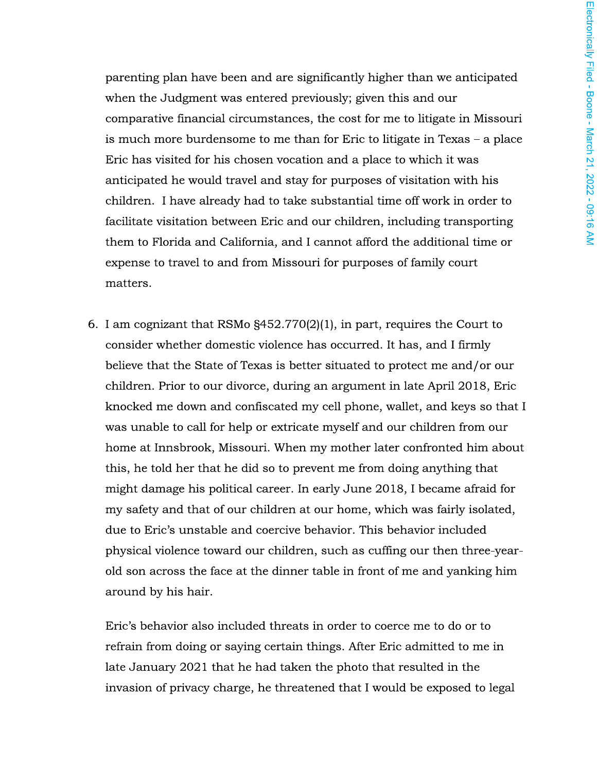parenting plan have been and are significantly higher than we anticipated when the Judgment was entered previously; given this and our comparative financial circumstances, the cost for me to litigate in Missouri is much more burdensome to me than for Eric to litigate in Texas - a place Eric has visited for his chosen vocation and a place to which it was anticipated he would travel and stay for purposes of visitation with his children. I have already had to take substantial time off work in order to facilitate visitation between Eric and our children, including transporting them to Florida and California, and I cannot afford the additional time or expense to travel to and from Missouri for purposes of family court matters.

6. I am cognizant that RSMo  $\S$ 452.770(2)(1), in part, requires the Court to consider whether domestic violence has occurred. It has, and I firmly believe that the State of Texas is better situated to protect me and/or our children. Prior to our divorce, during an argument in late April 2018, Eric knocked me down and confiscated my cell phone, wallet, and keys so that I was unable to call for help or extricate myself and our children from our home at Innsbrook, Missouri. When my mother later confronted him about this, he told her that he did so to prevent me from doing anything that might damage his political career. In early June 2018, I became afraid for my safety and that of our children at our home, which was fairly isolated, due to Eric's unstable and coercive behavior. This behavior included physical violence toward our children, such as cuffing our then three-yearold son across the face at the dinner table in front of me and yanking him around by his hair.

Eric's behavior also included threats in order to coerce me to do or to refrain from doing or saying certain things. After Eric admitted to me in late January 2021 that he had taken the photo that resulted in the invasion of privacy charge, he threatened that I would be exposed to legal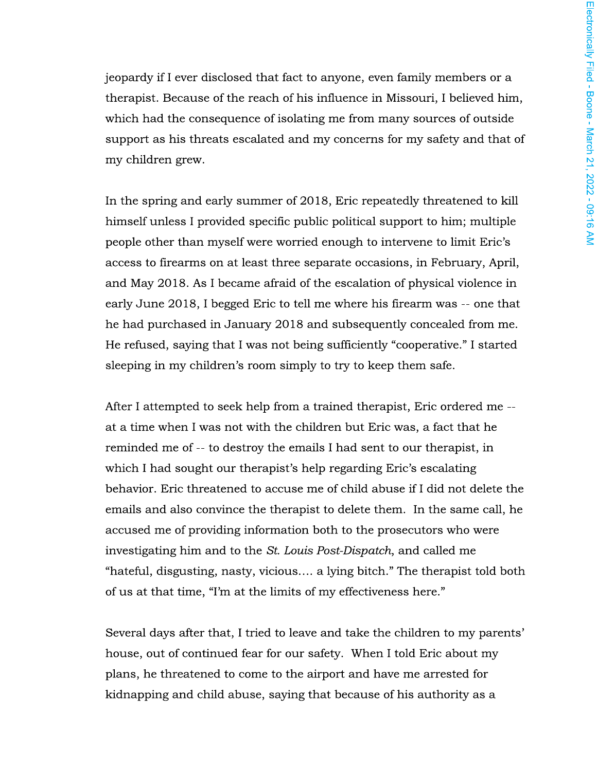jeopardy if I ever disclosed that fact to anyone, even family members or a therapist. Because of the reach of his influence in Missouri, I believed him, which had the consequence of isolating me from many sources of outside support as his threats escalated and my concerns for my safety and that of my children grew.

In the spring and early summer of 2018, Eric repeatedly threatened to kill himself unless I provided specific public political support to him; multiple people other than myself were worried enough to intervene to limit Eric's access to firearms on at least three separate occasions, in February, April, and May 2018. As I became afraid of the escalation of physical violence in early June 2018, I begged Eric to tell me where his firearm was -- one that he had purchased in January 2018 and subsequently concealed from me. He refused, saying that I was not being sufficiently "cooperative." I started sleeping in my children's room simply to try to keep them safe.

After I attempted to seek help from a trained therapist, Eric ordered me -at a time when I was not with the children but Eric was, a fact that he reminded me of -- to destroy the emails I had sent to our therapist, in which I had sought our therapist's help regarding Eric's escalating behavior. Eric threatened to accuse me of child abuse if I did not delete the emails and also convince the therapist to delete them. In the same call, he accused me of providing information both to the prosecutors who were investigating him and to the St. Louis Post-Dispatch, and called me "hateful, disgusting, nasty, vicious.... a lying bitch." The therapist told both of us at that time, "I'm at the limits of my effectiveness here."

Several days after that, I tried to leave and take the children to my parents' house, out of continued fear for our safety. When I told Eric about my plans, he threatened to come to the airport and have me arrested for kidnapping and child abuse, saying that because of his authority as a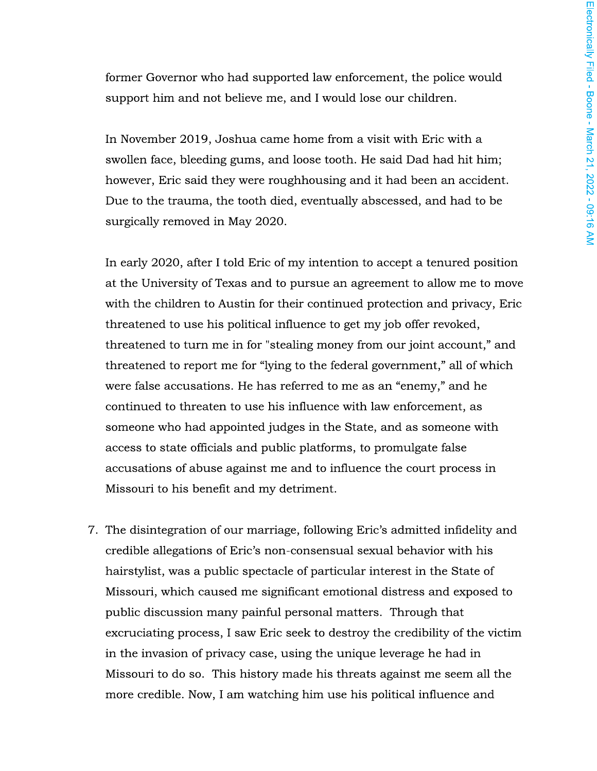former Governor who had supported law enforcement, the police would support him and not believe me, and I would lose our children.

In November 2019, Joshua came home from a visit with Eric with a swollen face, bleeding gums, and loose tooth. He said Dad had hit him; however, Eric said they were roughhousing and it had been an accident. Due to the trauma, the tooth died, eventually abscessed, and had to be surgically removed in May 2020.

In early 2020, after I told Eric of my intention to accept a tenured position at the University of Texas and to pursue an agreement to allow me to move with the children to Austin for their continued protection and privacy, Eric threatened to use his political influence to get my job offer revoked, threatened to turn me in for "stealing money from our joint account," and threatened to report me for "lying to the federal government," all of which were false accusations. He has referred to me as an "enemy," and he continued to threaten to use his influence with law enforcement, as someone who had appointed judges in the State, and as someone with access to state officials and public platforms, to promulgate false accusations of abuse against me and to influence the court process in Missouri to his benefit and my detriment.

7. The disintegration of our marriage, following Eric's admitted infidelity and credible allegations of Eric's non-consensual sexual behavior with his hairstylist, was a public spectacle of particular interest in the State of Missouri, which caused me significant emotional distress and exposed to public discussion many painful personal matters. Through that excruciating process, I saw Eric seek to destroy the credibility of the victim in the invasion of privacy case, using the unique leverage he had in Missouri to do so. This history made his threats against me seem all the more credible. Now, I am watching him use his political influence and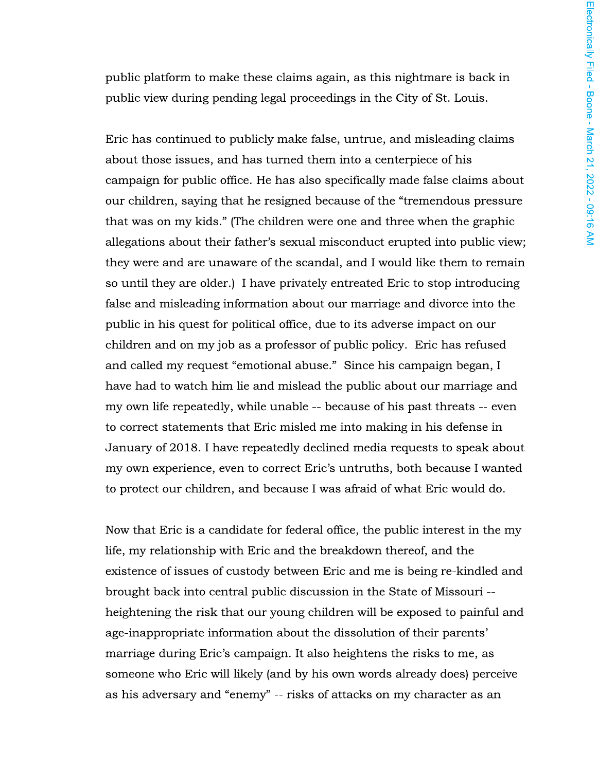public platform to make these claims again, as this nightmare is back in public view during pending legal proceedings in the City of St. Louis.

Eric has continued to publicly make false, untrue, and misleading claims about those issues, and has turned them into a centerpiece of his campaign for public office. He has also specifically made false claims about our children, saying that he resigned because of the "tremendous pressure that was on my kids." (The children were one and three when the graphic allegations about their father's sexual misconduct erupted into public view; they were and are unaware of the scandal, and I would like them to remain so until they are older.) I have privately entreated Eric to stop introducing false and misleading information about our marriage and divorce into the public in his quest for political office, due to its adverse impact on our children and on my job as a professor of public policy. Eric has refused and called my request "emotional abuse." Since his campaign began, I have had to watch him lie and mislead the public about our marriage and my own life repeatedly, while unable -- because of his past threats -- even to correct statements that Eric misled me into making in his defense in January of 2018. I have repeatedly declined media requests to speak about my own experience, even to correct Eric's untruths, both because I wanted to protect our children, and because I was afraid of what Eric would do.

Now that Eric is a candidate for federal office, the public interest in the my life, my relationship with Eric and the breakdown thereof, and the existence of issues of custody between Eric and me is being re-kindled and brought back into central public discussion in the State of Missouri -heightening the risk that our young children will be exposed to painful and age-inappropriate information about the dissolution of their parents' marriage during Eric's campaign. It also heightens the risks to me, as someone who Eric will likely (and by his own words already does) perceive as his adversary and "enemy" -- risks of attacks on my character as an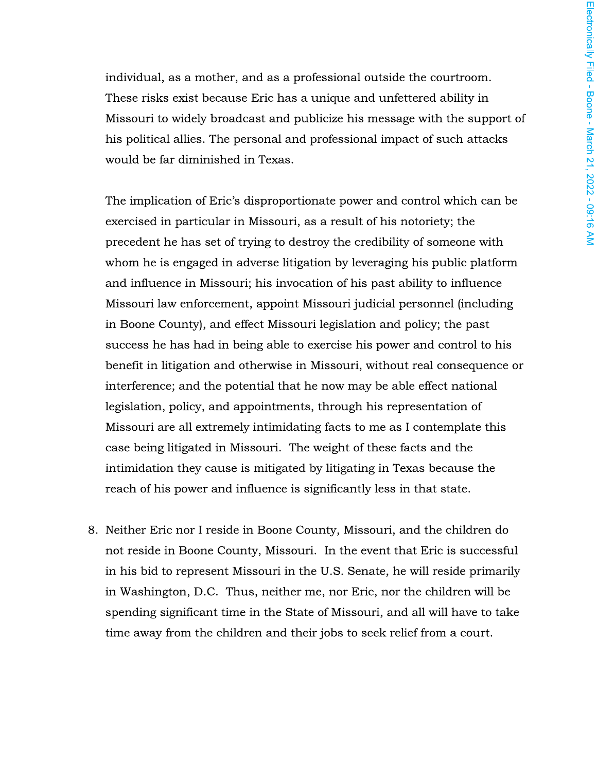individual, as a mother, and as a professional outside the courtroom. These risks exist because Eric has a unique and unfettered ability in Missouri to widely broadcast and publicize his message with the support of his political allies. The personal and professional impact of such attacks would be far diminished in Texas.

The implication of Eric's disproportionate power and control which can be exercised in particular in Missouri, as a result of his notoriety; the precedent he has set of trying to destroy the credibility of someone with whom he is engaged in adverse litigation by leveraging his public platform and influence in Missouri; his invocation of his past ability to influence Missouri law enforcement, appoint Missouri judicial personnel (including in Boone County), and effect Missouri legislation and policy; the past success he has had in being able to exercise his power and control to his benefit in litigation and otherwise in Missouri, without real consequence or interference; and the potential that he now may be able effect national legislation, policy, and appointments, through his representation of Missouri are all extremely intimidating facts to me as I contemplate this case being litigated in Missouri. The weight of these facts and the intimidation they cause is mitigated by litigating in Texas because the reach of his power and influence is significantly less in that state.

8. Neither Eric nor I reside in Boone County, Missouri, and the children do not reside in Boone County, Missouri. In the event that Eric is successful in his bid to represent Missouri in the U.S. Senate, he will reside primarily in Washington, D.C. Thus, neither me, nor Eric, nor the children will be spending significant time in the State of Missouri, and all will have to take time away from the children and their jobs to seek relief from a court.